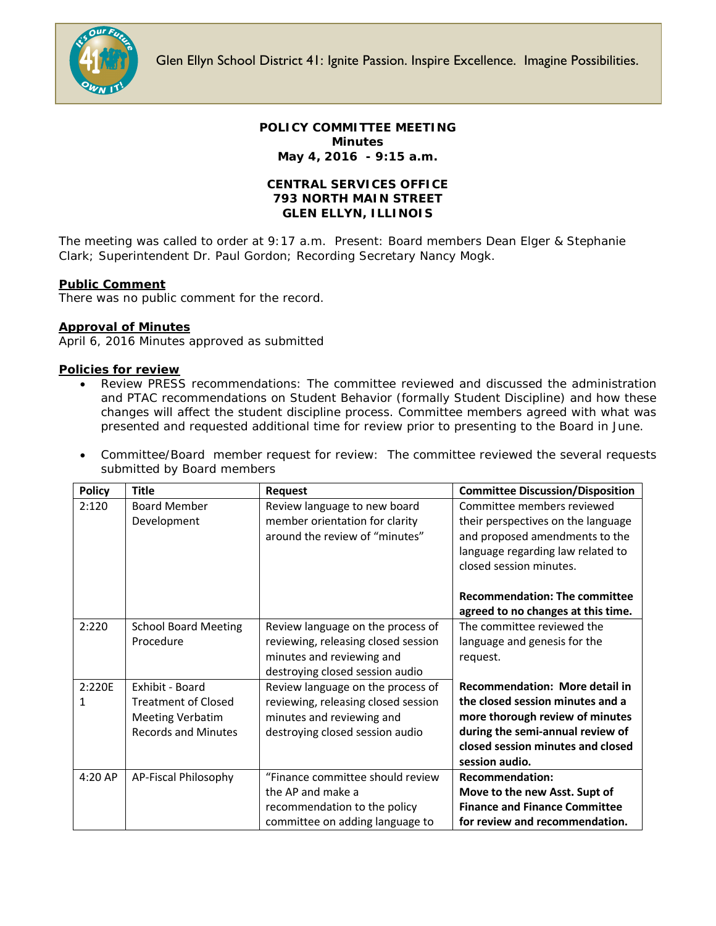

Glen Ellyn School District 41: Ignite Passion. Inspire Excellence. Imagine Possibilities.

## **POLICY COMMITTEE MEETING Minutes May 4, 2016 - 9:15 a.m.**

## **CENTRAL SERVICES OFFICE 793 NORTH MAIN STREET GLEN ELLYN, ILLINOIS**

The meeting was called to order at 9:17 a.m. Present: Board members Dean Elger & Stephanie Clark; Superintendent Dr. Paul Gordon; Recording Secretary Nancy Mogk.

# **Public Comment**

There was no public comment for the record.

### **Approval of Minutes**

April 6, 2016 Minutes approved as submitted

### **Policies for review**

- Review PRESS recommendations: The committee reviewed and discussed the administration and PTAC recommendations on Student Behavior (*formally Student Discipline*) and how these changes will affect the student discipline process. Committee members agreed with what was presented and requested additional time for review prior to presenting to the Board in June.
- Committee/Board member request for review: The committee reviewed the several requests submitted by Board members

| <b>Policy</b> | <b>Title</b>                | <b>Request</b>                      | <b>Committee Discussion/Disposition</b> |
|---------------|-----------------------------|-------------------------------------|-----------------------------------------|
| 2:120         | <b>Board Member</b>         | Review language to new board        | Committee members reviewed              |
|               | Development                 | member orientation for clarity      | their perspectives on the language      |
|               |                             | around the review of "minutes"      | and proposed amendments to the          |
|               |                             |                                     | language regarding law related to       |
|               |                             |                                     | closed session minutes.                 |
|               |                             |                                     |                                         |
|               |                             |                                     | <b>Recommendation: The committee</b>    |
|               |                             |                                     | agreed to no changes at this time.      |
| 2:220         | <b>School Board Meeting</b> | Review language on the process of   | The committee reviewed the              |
|               | Procedure                   | reviewing, releasing closed session | language and genesis for the            |
|               |                             | minutes and reviewing and           | request.                                |
|               |                             | destroying closed session audio     |                                         |
| 2:220E        | Exhibit - Board             | Review language on the process of   | <b>Recommendation: More detail in</b>   |
| 1             | <b>Treatment of Closed</b>  | reviewing, releasing closed session | the closed session minutes and a        |
|               | <b>Meeting Verbatim</b>     | minutes and reviewing and           | more thorough review of minutes         |
|               | <b>Records and Minutes</b>  | destroying closed session audio     | during the semi-annual review of        |
|               |                             |                                     | closed session minutes and closed       |
|               |                             |                                     | session audio.                          |
| 4:20 AP       | AP-Fiscal Philosophy        | "Finance committee should review    | <b>Recommendation:</b>                  |
|               |                             | the AP and make a                   | Move to the new Asst. Supt of           |
|               |                             | recommendation to the policy        | <b>Finance and Finance Committee</b>    |
|               |                             | committee on adding language to     | for review and recommendation.          |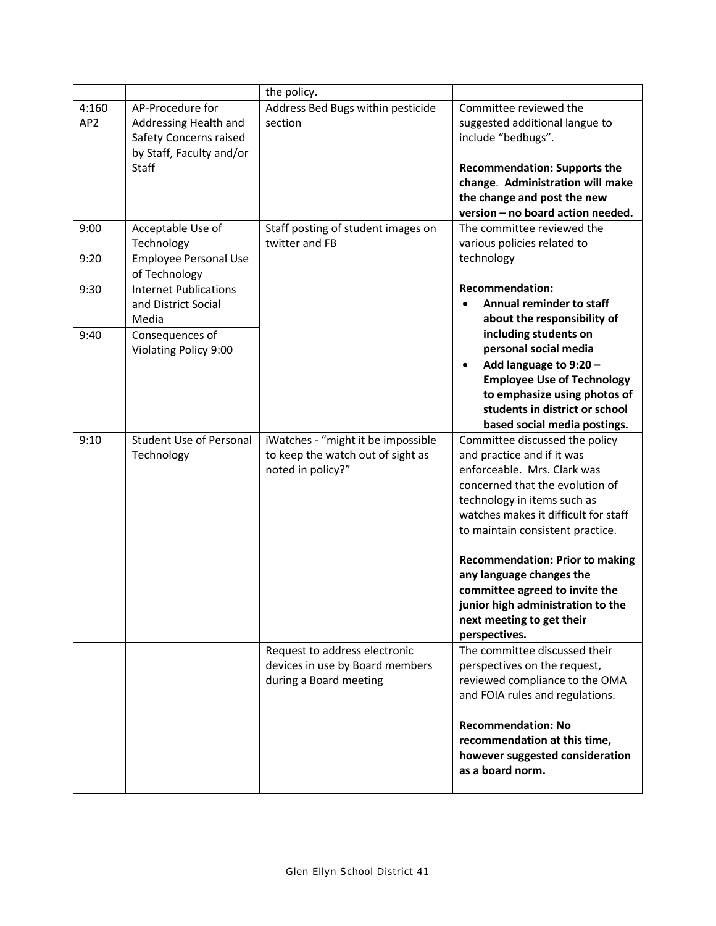|                          |                                                                                                                 | the policy.                                                                                  |                                                                                                                                                                                                                                           |
|--------------------------|-----------------------------------------------------------------------------------------------------------------|----------------------------------------------------------------------------------------------|-------------------------------------------------------------------------------------------------------------------------------------------------------------------------------------------------------------------------------------------|
| 4:160<br>AP <sub>2</sub> | AP-Procedure for<br>Addressing Health and<br>Safety Concerns raised<br>by Staff, Faculty and/or<br><b>Staff</b> | Address Bed Bugs within pesticide<br>section                                                 | Committee reviewed the<br>suggested additional langue to<br>include "bedbugs".<br><b>Recommendation: Supports the</b><br>change. Administration will make<br>the change and post the new<br>version - no board action needed.             |
| 9:00                     | Acceptable Use of<br>Technology                                                                                 | Staff posting of student images on<br>twitter and FB                                         | The committee reviewed the<br>various policies related to                                                                                                                                                                                 |
| 9:20                     | <b>Employee Personal Use</b><br>of Technology                                                                   |                                                                                              | technology                                                                                                                                                                                                                                |
| 9:30<br>9:40             | <b>Internet Publications</b><br>and District Social<br>Media<br>Consequences of                                 |                                                                                              | <b>Recommendation:</b><br><b>Annual reminder to staff</b><br>about the responsibility of<br>including students on                                                                                                                         |
|                          | Violating Policy 9:00                                                                                           |                                                                                              | personal social media<br>Add language to 9:20 -<br>٠<br><b>Employee Use of Technology</b><br>to emphasize using photos of<br>students in district or school<br>based social media postings.                                               |
| 9:10                     | <b>Student Use of Personal</b><br>Technology                                                                    | iWatches - "might it be impossible<br>to keep the watch out of sight as<br>noted in policy?" | Committee discussed the policy<br>and practice and if it was<br>enforceable. Mrs. Clark was<br>concerned that the evolution of<br>technology in items such as<br>watches makes it difficult for staff<br>to maintain consistent practice. |
|                          |                                                                                                                 |                                                                                              | <b>Recommendation: Prior to making</b><br>any language changes the<br>committee agreed to invite the<br>junior high administration to the<br>next meeting to get their<br>perspectives.                                                   |
|                          |                                                                                                                 | Request to address electronic<br>devices in use by Board members<br>during a Board meeting   | The committee discussed their<br>perspectives on the request,<br>reviewed compliance to the OMA<br>and FOIA rules and regulations.                                                                                                        |
|                          |                                                                                                                 |                                                                                              | <b>Recommendation: No</b><br>recommendation at this time,<br>however suggested consideration<br>as a board norm.                                                                                                                          |